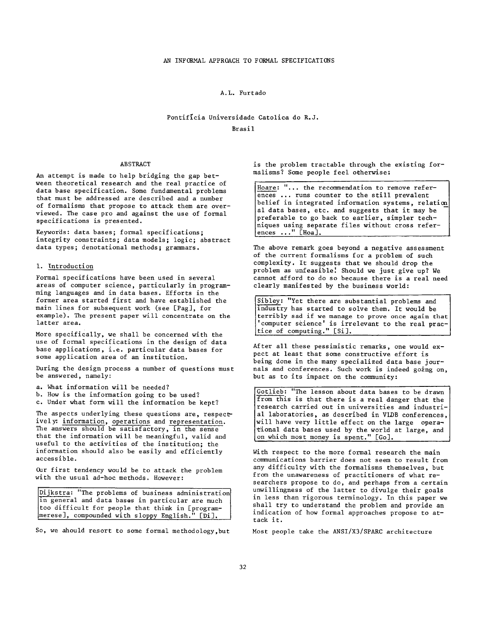#### A.L. Furtado

# Pontifícia Universidade Catolica do R.J. Brasil

#### ABSTRACT

An attempt is made to help bridging the gap between theoretical research and the real practice of data base specification. Some fundamental problems that must be addressed are described and a number of formalisms that propose to attack them are overviewed. The case pro and against the use of formal specifications is presented.

Keywords: data bases; formal specifications; integrity constraints; data models; logic; abstract data types; denotational methods; grammars.

### 1. Introduction

Formal specifications have been used in several areas of computer science, particularly in programming languages and in data bases. Efforts in the former area started first and have established the main lines for subsequent work (see [Pag], for example). The present paper will concentrate on the latter area.

More specifically, we shall be concerned with the use of formal specifications in the design of data base applications, i.e. particular data bases for some application area of an institution.

During the design process a number of questions must be answered, namely:

a. What information will be needed?

b. How is the information going to be used?

c. Under what form will the information be kept?

The aspects underlying these questions are, respectively: information, operations and representation. The answers should be satisfactory, in the sense that the information will be meaningful, valid and useful to the activities of the institution; the information should also be easily and efficiently accessible.

Oar first tendency would be to attack the problem with the usual ad-hoc methods. However:

Dijkstra: "The problems of business administration in general and data bases in particular are much too difficult for people that think in [program-Jmerese], compounded with sloppy English." [Di].

So, we ahould resort to some formal methodology,but

is the problem tractable through the existing formalisms? Some people feel oeherwise:

al data<br>preferab<br>niques u<br>ences ... Hoare: "... the recommendation to remove references ... runs counter to the still prevalent belief in integrated information systems, relation~ al data bases, etc. and suggests that it may be preferable to go back to earlier, simpler techniques using separate files without cross references ..." [Hoa].

The above remark goes beyond a negative assessment of the current formalisms for a problem of such complexity. It suggests that we should drop the problem as unfeasible! Should we just give up? We cannot afford to do so because there is a real need clearly manifested by the business world:

Sibley: "Yet there are substantial problems and industry has started to solve them. It would be terribly sad if we manage to prove once again that l'computer science' is irrelevant to the real prac-|  ${\sf (tice of computing."}$   ${\sf (Si)}.$ 

After all these pessimistic remarks, one would expect at least that some constructive effort is being done in the many specialized data base journals and conferences. Such work is indeed going on, but as to its impact on the community:

Gotlieb: "The lesson about data bases to be drawn from this is that there is a real danger that the research carried out in universities and industrial laboratories, as described in VLDB conferences, will have very little effect on the large operational data bases used by the world at large, and on which most money is spent." [Go].

With respect to the more formal research the main cormmunications barrier does not seem to result from any difficulty with the formalisms themselves, but from the unawareness of practitioners of what researchers propose to do, and perhaps from a certain unwillingness of the latter to divulge their goals in less than rigorous terminology. In this paper we shall try to understand the problem and provide an indication of how formal approaches propose to attack it.

Most people take the ANSI/X3/SPARC architecture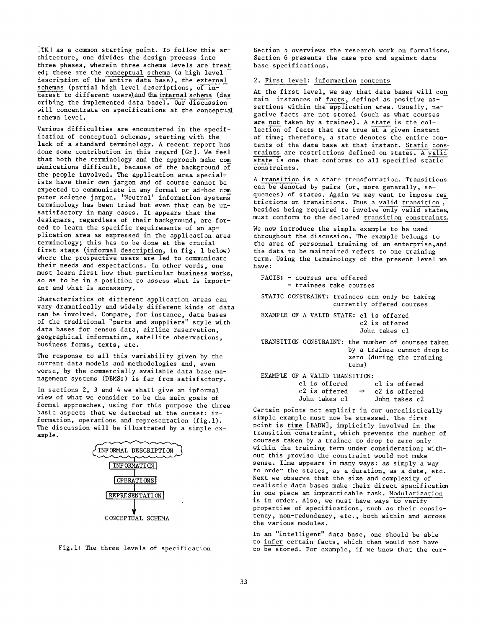[TK] as a common starting point. To follow this architecture, one divides the design process into three phases, wherein three schema levels are treat ed; these are the conceptual schema (a high level description of the entire data base), the external schemas (partial high level descriptions, of interest to different users), and the internal schema (des cribing the implemented data base). Our discussion will concentrate on specifications at the conceptual schema level.

Various difficulties are encountered in the specification of conceptual schemas, starting with the lack of a standard terminology. A recent report has done some contribution in this regard [Gr]. We feel that both the terminology and the approach make com munications difficult, because of the background of the people involved. The application area specialists have their own jargon and of course cannot be expected to communicate in any formal or ad-hoc com puter science jargon. 'Neutral' information systems terminology has been tried but even that can be unsatisfactory in many cases. It appears that the designers, regardless of their background, are forced to learn the specific requirements of an application area as expressed in the application area terminology; this has to be done at the crucial first stage (informal description, in fig. I below) where the prospective users are led to communicate their needs and expectations. In other words, one must learn first how that particular business works, so as to be in a position to assess what is important and what is accessory.

Characteristics of different application areas can vary dramatically and widely different kinds of data can be involved. Compare, for instance, data bases of the traditional "parts and suppliers" style with data bases for census data, airline reservation, geographical information, satellite observations, business forms, texts, etc.

The response to all this variability given by the current data models and methodologies and, even worse, by the commercially available data base management systems (DBMSs) is far from satisfactory.

In sections 2, 3 and 4 we shall give an informal view of what we consider to be the main goals of formal approaches, using for this purpose the three basic aspects that we detected at the outset: information, operations and representation (fig.l). The discussion will be illustrated by a simple example.





Section 5 overviews the research work on formalisms. Section 6 presents the case pro and against data base specifications.

### 2. First level: information contents

At the first level, we say that data bases will con tain instances of facts, defined as positive assertions within the application area. Usually, negative facts are not stored (such as what courses are not taken by a trainee). A state is the collection of facts that are true at a given instant of time; therefore, a state denotes the entire contents of the data base at that instant. Static constraints are restrictions defined on states. A valid state is one that conforms to all specified static constraints.

A transition is a state transformation. Transitions can be denoted by pairs (or, more generally, sequences) of states. Again we may want to impose res trictions on transitions. Thus a valid transition, besides being required to involve only valid states, must conform to the declared transition constraints.

We now introduce the simple example to be used throughout the discussion. The example belongs to the area of personnel training of an enterprise,and the data to be maintained refers to one training term. Using the terminology of the present level we have:

```
FACTS: - courses are offered
         - trainees take courses 
STATIC CONSTRAINT: trainees can only be taking 
                      currently offered courses 
EXAMPLE OF A VALID STATE: cl is offered 
                              c2 is offered 
                              John takes cl 
TRANSITION CONSTRAINT: the number of courses taken 
                          by a trainee cannot drop to 
                          zero (during the training 
                          term) 
EXAMPLE OF A VALID TRANSITION: 
           cl is offered cl is offered 
           c2 is offered \rightarrow c2 is offered<br>John takes c1 John takes c2
                                  John takes cl John takes c2
```
Certain points not explicit in our unrealistically simple example must now be stressed. The first point is time [BADW], implicitly involved in the transition constraint, which prevents the number of courses taken by a trainee to drop to zero only within the training term under consideration; without this proviso the constraint would not make sense. Time appears in many ways: as simply a way to order the states, as a duration, as a date, etc. Next we observe that the size and complexity of realistic data bases make their direct specification in one piece an impracticable task. Modularization is in order. Also, we must have ways to verify properties of specifications, such as their consistency, non-redundancy, etc., both within and across the various modules.

In an "intelligent" data base, one should be able to infer certain facts, which then would not have to be stored. For example, if we know that the cur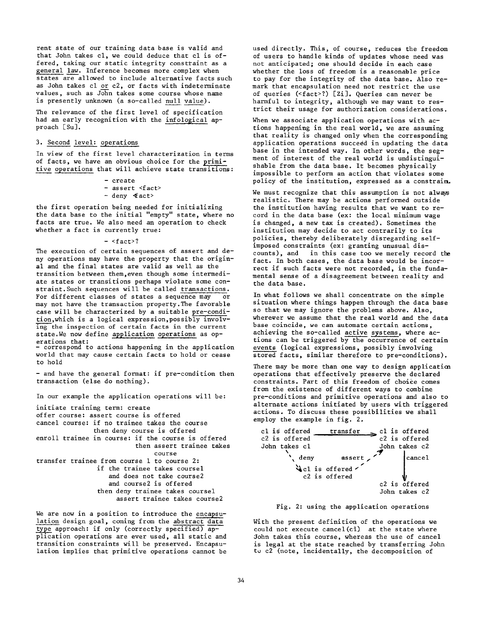rent state of our training data base is valid and that John takes cl, we could deduce that cl is offered, taking our static integrity constraint as a general law. Inference becomes more complex when states are allowed to include alternative facts such as John takes cl or c2, or facts with indeterminate values, such as John takes some course whose name is presently unknown (a so-called null value).

The relevance of the first level of specification had an early recognition with the infological approach [Su].

#### 3. Second level: operations

In view of the first level characterization in terms of facts, we have an obvious choice for the primitive operations that will achieve state transitions:

> **-** create **-** assert <fact>  $-$  deny  $4$ act>

the first operation being needed for initializing the data base to the initial "empty" state, where no facts are true. We also need an operation to check whether a fact is currently true:

- <fact>?

The execution of certain sequences of assert and deny operations may have the property that the original and the final states are valid as well as the transition between them,even though some intermediate states or transitions perhaps violate some constraint. Such sequences will be called transactions. For different classes of states a sequence may or may not have the transaction property. The favorable case will be characterized by a suitable pre-condition,which is a logical expression,possibly involving the inspection of certain facts in the current state.We now define application operations as operations that:

- correspond to actions happening in the application world that may cause certain facts to hold or cease to hold

**-** and have the general format: if pre-condition then transaction (else do nothing).

In our example the application operations will be:

initiate training term: create offer course: assert course is offered cancel course: if no trainee takes the course then deny course is offered enroll trainee in course: if the course is offered then assert trainee takes course transfer trainee from course 1 to course 2: if the trainee takes coursel and does not take course2 and course2 is offered then deny trainee takes coursel assert trainee takes course2

We are now in a position to introduce the encapsulation design goal, coming from the abstract data type approach: if only (correctly specified) application operations are ever used, all static and transition constraints will be preserved. Encapsulation implies that primitive operations cannot be

used directly. This, of course, reduces the freedom of users to handle kinds of updates whose need was not anticipated; one should decide in each case whether the loss of freedom is a reasonable price to pay for the integrity of the data base. Also remark that encapsulation need not restrict the use of queries (<fact>?) [Zi]. Queries can never be harmful to integrity, although we may want to restrict their usage for authorization considerations.

When we associate application operations with actions happening in the real world, we are assuming that reality is changed only when the corresponding application operations succeed in updating the data base in the intended way. In other words, the segment of interest of the real world is undistinguishable from the data base. It becomes physically impossible to perform an action that violates some policy of the institution, expressed as a constrain.

We must recognize that this assumption is not always realistic. There may be actions performed outside the institution having results that we want to record in the data base (ex: the local minimum wage is changed, a new tax is created). Sometimes the institution may decide to act contrarily to its policies, thereby deliberately disregarding selfimposed constraints (ex: granting unusual discounts), and in this case too we merely record the fact. In both cases, the data base would be incorrect if such facts were not recorded, in the fundamental sense of a disagreement between reality and the data base.

In what follows we shall concentrate on the simple situation where things happen through the data base so that we may ignore the problems above. Also, wherever we assume that the real world and the data base coincide, we can automate certain actions, achieving the so-called active systems, where actions can be triggered by the occurrence of certain events (logical expressions, possibly involving stored facts, similar therefore to pre-conditions).

There may be more than one way to design application operations that effectively preserve the declared constraints. Part of this freedom of choice comes from the existence of different ways to combine pre-conditions and primitive operations and also to alternate actions initiated by users with triggered actions. To discuss these possibilities we shall employ the example in fig, 2.



Fig. 2: using the application operations

With the present definition of the operations we could not execute cancel $(cl)$  at the state where John takes this course, whereas the use of cancel is legal at the state reached by transferring John to c2 (note, incidentally, the decomposition of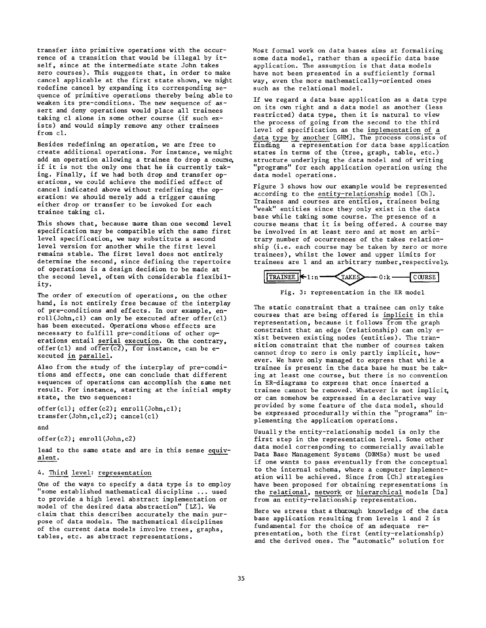transfer into primitive operations with the occurrence of a transition that would be illegal by itself, since at the intermediate state John takes zero courses). This suggests that, in order to make cancel applicable at the first state shown, we might redefine cancel by expanding its corresponding sequence of primitive operations thereby being able to weaken its pre-conditions. The new sequence of assert and deny operations would place all trainees taking cl alone in some other course (if such exists) and would simply remove any other trainees from cl.

Besides redefining an operation, we are free to create additional operations. For instance, we might add an operation allowing a trainee to drop a course. if it is not the only one that he is currently taking. Finally, if we had both drop and transfer operations, we could achieve the modified effect of cancel indicated above without redefining the operation: we should merely add a trigger causing either drop or transfer to be invoked for each trainee taking cl.

This shows that, because more than one second level specification may be compatible with the same first level specification, we may substitute a second level version for another while the first level remains stable. The first level does not entirely determine the second, since defining the repertoire of operations is a design decision to be made at the second level, often with considerable flexibility.

The order of execution of operations, on the other hand, is not entirely free because of the interplay of pre-conditions and effects. In our example, enroll(John,cl) can only be executed after offer(cl) has been executed. Operations whose effects are necessary to fulfill pre-conditions of other operations entail serial execution. On the contrary, offer(cl) and offer(c2), for instance, can be executed in parallel.

Also from the study of the interplay of pre-conditions and effects, one can conclude that different sequences of operations can accomplish the same net result. For instance, starting at the initial empty state, the two sequences:

```
offer(c1); offer(c2); enroll(John, c1);transfer(John,cl,c2); cancel(cl)
```
and

offer(c2); enroll(John,c2)

lead to the same state and are in this sense equivalent.

### 4. Third level: representation

One of the ways to specify a data type is to employ "some established mathematical discipline ... used to provide a high level abstract implementation or model of the desired data abstraction" [LZ]. We claim that this describes accurately the main purpose of data models. The mathematical disciplines of the current data models involve trees, graphs, tables, etc. as abstract representations.

Most formal work on data bases aims at formalizing some data model, rather than a specific data base application. The assumption is that data models have not been presented in a sufficiently formal way, even the more mathematically-oriented ones such as the relational model.

If we regard a data base application as a data type on its own right and a data model as another (less restricted) data type, then it is natural to view the process of going from the second to the third level of specification as the implementation of a data type by another [GHM]. The process consists of finding a representation for data base application states in terms of the (tree, graph, table, etc.) structure underlying the data model and of writing "programs" for each application operation using the data model operations.

Figure 3 shows how our example would be represented according to the entity-relationship model [Ch]. Trainees and courses are entities, trainees being "weak" entities since they only exist in the data base while taking some course. The presence of a course means that it is being offered. A course may be involved in at least zero and at most an arbitrary number of occurrences of the takes relationship (i.e. each course may be taken by zero or more trainees), whilst the lower and upper limits for trainees are 1 and an arbitrary number, respectively.





The static constraint that a trainee can only take courses that are being offered is implicit in this representation, because it follows from the graph constraint that an edge (relationship) can only exist between existing nodes (entities). The transition constraint that the number of courses taken cannot drop to zero is only partly implicit, however. We have only managed to express that while a trainee is present in the data base he must be taking at least one course, but there is no convention in ER-diagrams to express that once inserted a trainee cannot be removed. Whatever is not implicit, or can somehow be expressed in a declarative way provided by some feature of the data model, should be expressed procedurally within the "programs" implementing the application operations.

Usually the entity-relationship model is only the first step in the representation level. Some other data model corresponding to commercially available Data Base Management Systems (DBMSs) must be used if one wants to pass eventually from the conceptual to the internal schema, where a computer implementation will be achieved. Since from [Ch] strategies have been proposed for obtaining representations in the relational, network or hierarchical models [Da] from an entity-relationship representation.

Here we stress that a thorough knowledge of the data base application resulting from levels 1 and 2 is fundamental for the choice of an adequate representation, both the first (entity-relationship) and the derived ones. The "automatic" solution for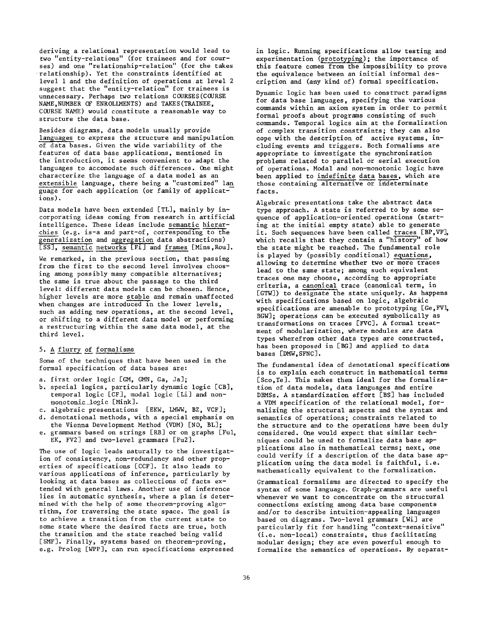deriving a relational representation would lead to two "entity-relations" (for trainees and for courses) and one "relationship-relation" (for the takes relationship). Yet the constraints identified at level I and the definition of operations at level 2 suggest that the "entity-relation" for trainees is unnecessary. Perhaps two relations COURSES(COURSE NAME,NUMBER OF ENROLLMENTS) and TAKES(TRAINEE, COURSE NAME) would constitute a reasonable way to structure the data base.

Besides diagrams, data models usually provide languages to express the structure and manipulation of data bases. Given the wide variability of the features of data base applications, mentioned in the introduction, it seems convenient to adapt the languages to accomodate such differences. One might characterize the language of a data model as an extensible language, there being a "customized" lan guage for each application (or family of applications).

Data models have been extended [TL], mainly by incorporating ideas coming from research in artificial intelligence. These ideas include semantic hierarchies (e.g. is-a and part-of, corresponding to the generalization and aggregation data abstractions) [SS], semantic networks [Fi] and frames [Mins,Rou].

We remarked, in the previous section, that passing from the first to the second level involves choosing among possibly many compatible alternatives; the same is true about the passage to the third level: different data models can be chosen. Hence, higher levels are more stable and remain unaffected when changes are introduced in the lower levels, such as adding new operations, at the second level, or shifting to a different data model or performing a restructuring within the same data model, at the third level.

### 5. A flurry of formalisms

Some of the techniques that have been used in the formal specification of data bases are:

- a. first order logic [GM, GMN, Ga, Ja];
- b. special logics, particularly dynamic logic [CB], temporal logic [CF], modal logic [Li] and nonmonotonic logic [Mink].
- c. algebraic presentations [EKW, LMWW, BZ, VCF];
- d. denotational methods, with a special emphasis on the Vienna Development Method (VDM) [NO, BL];
- e. grammars based on strings [RB] or on graphs [Ful, EK, FV2] and two-level grammars [Fu2].

The use of logic leads naturally to the investigation of consistency, non-redundancy and other properties of specifications [CCF]. It also leads to various applications of inference, particularly by looking at data bases as collections of facts extended with general laws. Another use of inference lies in automatic synthesis, where a plan is determined with the help of some theorem-proving algorithm, for traversing the state space. The goal is to achieve a transition from the current state to some state where the desired facts are true, both the transition and the state reached being valid [SMF]. Finally, systems based on theorem-proving, e.g. Prolog [WPP], can run specifications expressed in logic. Running specifications allow testing and experimentation (prototyping) ; the importance of this feature comes from the impossibility to prove the equivalence between an initial informal description and (any kind of) formal specification.

Dynamic logic has been used to construct paradigms for data base languages, specifying the various commands within an axiom system in order to permit formal proofs about programs consisting of such commands. Temporal logics aim at the formalization of complex transition constraints; they can also cope with the description of active systems, including events and triggers. Both formalisms are appropriate to investigate the synchronization problems related to parallel or serial execution of operations. Modal and non-monotonic logic have been applied to indefinite data bases, which are those containing alternative or indeterminate facts.

Algebraic presentations take the abstract data type approach. A state is referred to by some sequence of application-oriented operations (starting at the initial empty state) able to generate it. Such sequences have been called traces [BP,VF], which recalls that they contain a "history" of how the state might be reached. The fundamental role is played by (possibly conditional) equations, allowing to determine whether two or more traces lead to the same state; among such equivalent traces one may choose, according to appropriate criteria, a canonical trace (canonical term, in [GTW]) to designate the state uniquely. As happens with specifications based on logic, algebraic specifications are amenable to prototyping  $[Ge, FVI,$ BGW]; operations can be executed symbolically as transformations on traces [FVC]. A formal treatment of modularization, where modules are data types wherefrom other data types are constructed, has been proposed in [BG] and applied to data bases [DMW,SFNC].

The fundamental idea of denotational specifications is to explain each construct in mathematical terms [Sco, Te]. This makes them ideal for the formalization of data models, data languages and entire DBMSs. A standardization effort [BS] has included a VDM specification of the relational model, formalizing the structural aspects and the syntax and semantics of operations; constraints related to the structure and to the operations have been duly considered. One would expect that similar techniques could be used to formalize data base applications also in mathematical terms; next, one could verify if a description of the data base application using the data model is faithful, i.e. mathematically equivalent to the formalization.

Grammatical formalisms are directed to specify the syntax of some language. Graph-grammars are useful whenever we want to concentrate on the structural connections existing among data base components and/or to describe intuition-appealing languages based on diagrams. Two-level grammars [Wi] are particularly fit for handling "context-sensitive" (i.e. non-local) constraints, thus facilitating modular design; they are even powerful enough to formalize the semantics of operations. By separat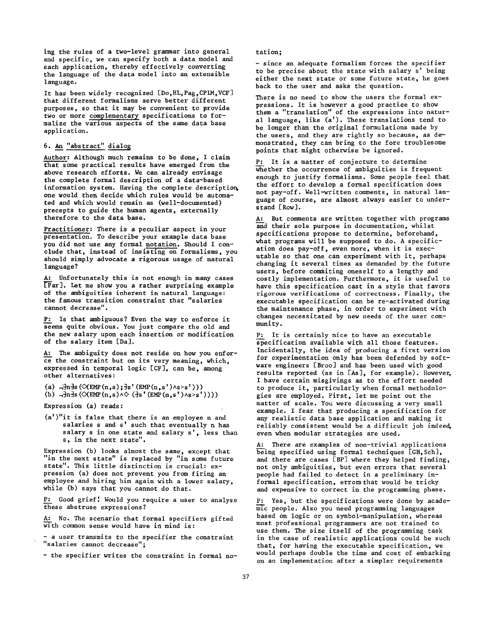ing the rules of a two-level grammar into general and specific, we can specify both a data model and each application, thereby effectively converting the language of the data model into an extensible language.

It has been widely recognized [Do,HL, Pag,CPIM,VCF] that different formalisms serve better different purposes, so that it may be convenient to provide two or more complementary specifications to formalize the various aspects of the same data base application.

## 6. An "abstract" dialo~

Author: Although much remains to be done, I claim that some practical results have emerged from the above research efforts. We can already envisage the complete formal description of a data-based information system. Having the complete description, one would then decide which rules would be automated and which would remain as (well-documented) precepts to guide the human agents, externally therefore to the data base.

Practitioner: There is a peculiar aspect in your presentation. To describe your example data base you did not use any formal notation. Should I conclude that, instead of insisting on formalisms, you should simply advocate a rigorous usage of natural language?

A: Unfortunately this is not enough in many cases  $\overline{[Par]}$ . Let me show you a rather surprising example of the ambiguities inherent in natural language: the famous transition constraint that "salaries cannot decrease".

P: Is that ambiguous? Even the way to enforce it seems quite obvious. You just compare the old and the new salary upon each insertion or modification of the salary item [Da].

A: The ambiguity does not reside on how you enforce the constraint but on its very meaning, which, expressed in temporal logic [CF], can be, among other alternatives:

(a)  $-\ln\frac{1}{3}$ s ( $\Diamond$ EMP(n,s); $\frac{1}{3}$ s' (EMP(n,s')^s>s'))) (b)  $-\exists n\exists s (\langle \text{KMP}(n,s) \land \langle \exists s' (\text{EMP}(n,s') \land s \rangle s'))))$ 

- Expression (a) reads:
- (a')"it is false that there is an employee n and salaries s and s' such that eventually n has salary s in one state and salary s', less than s, in the next state".

Expression (b) looks almost the same, except that "in the next state" is replaced by "in some future state". This little distinction is crucial: expression (a) does not prevent you from firing an employee and hiring him again with a lower salary, while (b) says that you cannot do that.

P: Good grief! Would you require a user to analyse these abstruse expressions?

A: No. The scenario that formal specifiers gifted with common sense would have in mind is:

- a user transmits to the specifier the constraint "salaries cannot decrease";

- the specifier writes the constraint in formal no-

tation;

- since an adequate formalism forces the specifier to be precise about the state with salary s' being either the next state or some future state, he goes back to the user and asks the question.

There is no need to show the users the formal expressions. It is however a good practice to show them a "translation" of the expressions into natural language, like (a'). These translations tend to be longer than the original formulations made by the users, and they are rightly so because, as demonstrated, they can bring to the fore troublesome points that might otherwise be ignored.

P: It is a matter of conjecture to determine whether the occurrence of ambiguities is frequent enough to justify formalisms. Some people feel that the effort to develop a formal specification does not pay-off. Well-written comments, in natural language of course, are almost always easier to understand [Row].

A: But comments are written together with programs and their sole purpose in documentation, whilst specifications propose to determine, beforehand, what programs will be supposed to do. A specification does pay-off, even more, when it is executable so that one can experiment with it, perhaps changing it several times as demanded by the future users, before commiting oneself to a lengthy and costly implementation. Furthermore, it is useful to have this specification cast in a style that favors rigorous verifications of correctness. Finally, the executable specification can be re-activated during the maintenance phase, in order to experiment with changes necessitated by new needs of the user community.

P: It is certainly nice to have an executable specification available with all those features. Incidentally, the idea of producing a first version for experimentation only has been defended by software engineers [Broo] and has been used with good results reported (as in  $[As]$ , for example). However, I have certain misgivings as to the effort needed to produce it, particularly when formal methodologies are employed. First, let me point out the matter of scale. You were discussing a very small example. I fear that producing a specification for any realistic data base application and making it reliably consistent would be a difficult job indeed, even when modular strategies are used.

A: There are examples of non-trivial applications  $\overline{\text{being} }$  specified using formal techniques [GH, Sch], and there are cases [BP] where they helped finding, not only ambiguities, but even errors that several people had failed to detect in a preliminary informal specification, errors that would be tricky and expensive to correct in the programming phase.

Yes, but the specifications were done by academlc people. Also you need programming languages based on logic or on symbol-manipulation, whereas most professional programmers are not trained to use them. The size itself of the programming task in the case of realistic applications could be such that, for having the executable specification, we would perhaps double the time and cost of embarking on an implementation after a simpler requirements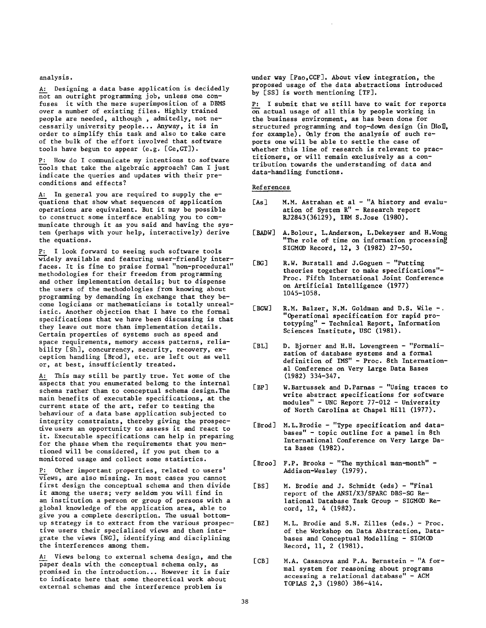analysis.

A: Designing a data base application is decidedly not an outright programming job, unless one confuses it with the mere superimposition of a DBMS over a number of existing files. Highly trained people are needed, although , admitedly, not necessarily university people... Anyway, it is in order to simplify this task and also to take care of the bulk of the effort involved that software tools have begun to appear (e.g. [Ge,GT]).

P: How do I communicate my intentions to software tools that take the algebraic approach? Can I just indicate the queries and updates with their preconditions and effects?

A: In general you are required to supply the equations that show what sequences of application operations are equivalent. But it may be possible to construct some interface enabling you to communicate through it as you said and having the system (perhaps with your help, interactively) derive the equations.

I look forward to seeing such software tools widely available and featuring user-friendly interfaces. It is fine to praise formal "non-procedural" methodologies for their freedom from programming and other implementation details; but to dispense the users of the methodologies from knowing about programning by demanding in exchange that they become logicians or mathematicians is totally unrealistic. Another objection that I have to the formal specifications that we have been discussing is that they leave out more than implementation details. Certain properties of systems such as speed and space requirements, memory access patterns, reliability [Sh], concurrency, security, recovery, exception handling [Brod], etc. are left out as well or, at best, insufficiently treated.

A: This may still be partly true. Yet some of the aspects that you enumerated belong to the internal schema rather than to conceptual schema design. The main benefits of executable specifications, at the current state of the art, refer to testing the behaviour of a data base application subjected to integrity constraints, thereby giving the prospective users an opportunity to assess it and react to it. Executable specifications can help in preparing for the phase when the requirements that you mentioned will be considered, if you put them to a monitored usage and collect some statistics.

P: Other important properties, related to users' views, are also missing. In most cases you cannot first design the conceptual schema and then divide it among the users; very seldom you will find in an institution a person or group of persons with a global knowledge of the application area, able to give you a complete description. The usual bottomup strategy is to extract from the various prospective users their specialized views and then integrate the views [NG], identifying and disciplining the interferences among them.

A: Views belong to external schema design, and the paper deals with the conceptual schema only, as promised in the introduction... However it is fair to indicate here that some theoretical work about external schemas and the interference problem is

under way [Pao,CCF]. About view integration, the proposed usage of the data abstractions introduced by [SS] is worth mentioning [TF].

P: I submit that we still have to wait for reports  $\overline{on}$  actual usage of all this by people working in the business environment, as has been done for structured programming and top-down design (in [Hol], for example). Only from the analysis of such reports one will be able to settle the case of whether this line of research is relevant to practitioners, or will remain exclusively as a contribution towards the understanding of data and data-handling functions.

#### References

- [As] M.M. Astrahan et al "A history and evaluation of System R" - Research report RJ2843(36129), IBM S.Jose (1980).
- **[ BADW]** A.Bolour, L.Anderson, L.Dekeyser and H.Wong "The role of time on information processing SIGMOD Record, 12, 3 (1982) 27-50.
- **[BG]** R.W. Burstall and J.Goguen "Putting theories together to make specifications"- Proc. Fifth International Joint Conference on Artificial Intelligence (1977) 1045-1058.
- [BGW] R.M. Balzer, N.M. Goldman and D.S. Wile -. "Operational specification for rapid prototyping" - Technical Report, Information Sciences Institute, USC (1981).
- [BL] D. Bjorner and H.H. Lovengreen - "Formalization of database systems and a formal definition of IMS" - Proc. 8th International Conference on Very Large Data Bases (1982) 334-347.
- **[BP]**  W. Bartussek and D. Parnas - "Using traces to write abstract specifications for software modules" - UNC Report 77-012 - University of North Carolina at Chapel Hill (1977).
- [Brod] M.L.Brodie "Type specification and databases" - topic outline for a panel in 8th International Conference on Very large Data Bases (1982).
- [Broo] F.P. Brooks "The mythical man-month" -Addison-Wesley (1979).
- **[BS]** M. Brodie and J. Schmldt (eds) "Final report of the ANSI/X3/SPARC DBS-SG Relational Database Task Group - SIGMOD Record, 12, 4 (1982).
- **[BZ]** M.L. Brodie and S.N. Zilles (eds.) Proc. of the Workshop on Data Abstraction, Databases and Conceptual Modelling - SIGMGD Record, II, 2 (1981).
- [CB] M.A. Casanova and P.A. Bernstein "A formal system for reasoning about programs accessing a relational database" - ACM TOPLAS 2,3 (1980) 386-414.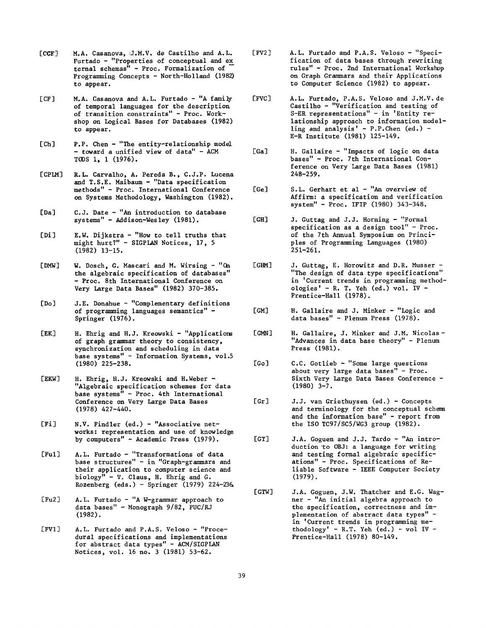- $[CCF]$ M.A. Casanova, J.M.V. de Castilho and A.L. Furtado - "Properties of conceptual and ex ternal schemas" - Proe. Formalization of Programming Concepts - North-Holland (1982) to appear.
- $ICF$ ] M.A. Casanova and A.L. Furtado - "A family of temporal languages for the description of transition constraints" - Proc. Workshop on Logical Bases for Databases (1982) to appear.
- $[Ch]$ P.P. Chen- "The entity-relationship model - toward a unified view of data" - ACM TODS 1, 1 (1976).
- [CPIM] R.L. Carvalho, A. Pereda B., C.J.P. Lucena and T.S.E. Maibaum - "Data specification methods" - Proc. International Conference on Systems Methodology, Washington (1982).
- [Da] C.J. Date - "An introduction to database systems" - Addis0n-Wesley (1981).
- [Di] E.W. Dijkstra - "How to tell truths that might hurt?" - SlGPLAN Notices, 17, 5 (1982) 13-15.
- [DMW] W. Dosch, G. Mascari and M. Wirsing - "On the algebraic specification of databases" - Proc. 8th International Conference on Very Large Data Bases" (1982) 370-385.
- [Do] J.E. Donahue - "Complementary definitions of programming languages semantics" - Springer (1976).
- **[EK]**  H. Ehrig and H.J. Kreowski - "Applications of graph grammar theory to consistency, synchronization and scheduling in data base systems" - Information Systems, vol.5 (1980) 225-238.
- **[EKW]**  H. Ehrig, H.J. Kreowski and H.Weber -"Algebraic specification schemes for data base systems" - Proc. 4th International Conference on Very large Data Bases (1978) 427-440.
- [Fi] N.V. Findler (ed.) - "Associative networks: representation and use of knowledge by computers" - Academic Press (1979).
- [Ful] A.L. Furtado - "Transformations of data base structures" - in "Graph-grammars and their application to computer science and biology" - V. Claus, H. Ehrig and G. Rozenberg (eds.) - Springer (1979) 224-23&
- $[Fu2]$ A.L. Furtado - "A W-grammar approach to data bases" - Monograph 9/82, PUC/RJ (1982).
- [FVI] A.L. Furtado and P.A.S. Veloso - "Procedural specifications and implementations for abstract data types" - ACM/SlGPIAN Notices, vol. 16 no. 3 (19Sl) 53-62.
- [FV2] A.L. Furtado and P.A.S. Veloso - "Specification of data bases through rewriting rules" - Proe. 2nd International Workshop on Graph Grammars and their Applications to Computer Science (1982) to appear.
- [FVC] A.L. Furtado, P.A.S. Veloso and J.M.V. de Castilho - "Verification and testing of S-ER representations" - in 'Entity relationship approach to information modelling and analysis' - P.P.Chen (ed.) - E-R Institute (1981) 125-149.
- $[Ga]$ H. Gallaire - "Impacts of logic on data bases" - Proc. 7th International Conference on Very large Data Bases (1981) 248-259.
- [Ge] S.L. Gerhart et al - "An overview of Affirm: a specification and verification system" - Proc. IFIP (1980) 343-348.
- [GH] J. Guttag and J.J. Horning- "Formal specification as a design tool" - Proe. of the 7th Annual Symposium on Principles of Programming Languages (1980) 251-261.
- **[GBM]**  J. Guttag, E. Horowitz and D.R. Musser - "The design of data type specifications" in 'Current trends in programming methodologies' - R. T. Yeh  $(ed.)$  vol. IV -Prentice-Hall (1978).
- [GM] H. Gallaire and J. Minker - "Logic and data bases" - Plenum Press (1978).
- **[GMN]**  H. Gallaire, J. Minker and J.M. Nicolas- "Advances in data base theory" - Plenum Press (1981).
- [Go] C.C. Gotlieb - "Some large questions about very large data bases" - Proc. Sixth Very large Data Bases Conference -  $(1980)$   $3-7$ .
- [Gr] J.J. van Griethuysen (ed.) - Concepts and terminology for the conceptual schema and the information base" - report from the ISO TC97/SC5/WG3 group  $(1982)$ .
- $[GT]$ J.A. Goguen and J.J. Tardo - "An introduction 'to OBJ: a language for writing and testing formal algebraic specifications" - Proc. Specifications of Reliable Software - IEEE Computer Society (1979).
- [GTW] J.A. Goguen, J.W. Thatcher and E.G. Wagner - "An initial algebra approach to the specification, correctness and implementation of abstract data types" in 'Current trends in programming methodology' - R.T. Yeh  $(ed.) - vol$  IV -Prentice-Hall (1978) 80-149.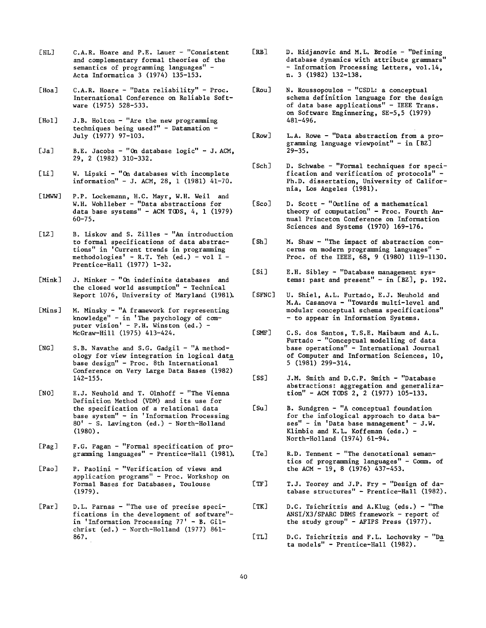- [HL] C.A.R. Hoare and P.E. Lauer - "Consistent and complementary formal theories of the semantics of programming languages" - Acta Informatica 3 (1974) 135-153.
- [Hoa] C.A.R. Hoare - "Data reliability" - Proc. International Conference on Reliable Software (1975) 528-533.
- [Hol] J.B. Holton - "Are the new programming techniques being used?" - Datamation  $-$ July (1977) 97-103.
- [Ja]  $B.E.$  Jacobs - "On database logic" - J. ACM. 29, 2 (1982) 310-332.
- $[Li]$ W. Lipski - "On databases with incomplete  $information'' - J. ACM, 28, 1 (1981)  $41-70$ .$
- $[IMWW]$ P.P. Lockemann, H.C. Mayr, W.H. Well and W.H. Wohlleber - "Data abstractions for data base systems" - ACM TCDS, 4, 1 (1979) 60-75.
- $[LZ]$ B. Liskov and S. Zilles - "An introduction to formal specifications of data abstractions" in 'Current trends in programming methodologies' - R.T. Yeh (ed.) - vol I - Prentice-Hall (1977) 1-32.
- [Mink] J. Minker - "On indefinite databases and the closed world assumption" - Technical Report 1076, University of Maryland (1981).
- [Mins] M. Minsky - "A framework for representing knowledge" - in 'The psychology of computer vision' - P.H. Winston  $(ed.)$  -McGraw-Hill (1975) 413-424.
- [NG] S.B. Navathe and S.G. Gadgil - "A methodology for view integration in logical data base design" - Proc. 8th International Conference on Very Large Data Bases (1982) 142-155.
- [NO] E.J. Neuhold and T. Olnhoff - "The Vienna Definition Method (VDM) and its use for the specification of a relational data base system" - in 'Information Processing 80' - S. Lavington (ed.) - North-Holland (1980).
- [Pag] F.G. Pagan - "Formal specification of programming languages" - Prentice-Hall (1981).
- [Pao] P. Paolini - "Verification of views and application programs" - Proc. Workshop on Formal Bases for Databases, Toulouse (1979).
- [Par] D.L. Parnas - "The use of precise specifications in the development of software" in 'Information Processing 77' - B. Gilchrist  $(ed.) - North-Holland (1977) 861-$ 867.
- **[RBI**  D. Ridjanovic and M.IL. Brodie - "Defining database dynamics with attribute grammars" - Information Processing Letters, vol.14, n. 3 (1982) 132-138.
- [Rou] N. Roussopoulos - "CSDL: a conceptual schema definition language for the design of data base applications" - IEEE Trans. on Software Enginnering, SE-5,5 (1979) 481-496.
- [Row] L.A. Rowe - "Data abstraction from a programming language viewpoint" - in  $[BZ]$ 29-35.
- [Sch] D. Schwabe - "Formal techniques for specification and verification of protocols" - Ph.D. dissertation, University of California, Los Angeles (1981).
- [Sco] D. Scott - "Outline of a mathematical theory of computation" - Proc. Fourth Annual Princeton Conference on Information Sciences and Systems (1970) 169-176.
- $[Sh]$ M. Shaw - "The impact of abstraction concerns on modern programming languages" - Proc. of the IEEE, 68, 9 (1980) 1119-1130.
- $[Si]$ E.H. Sibley - "Database management systems: past and present" - in [BZ], p. 192.
- [SFNC] U. Shiel, A.L. Furtado, E.J. Neuhold and M.A. Casanova - "Towards multi-level and modular conceptual schema specifications" **-** to appear in Information Systems.
- [ SMF] C.S. dos Santos, T.S.E. Maibaum and A.L. Furtado - "Conceptual modelling of data base operations" - International Journal of Computer and Information Sciences, I0, 5 (1981) 299-314.
- [SS] J.M. Smith and D.C.P. Smith - "Database abstractions: aggregation and generalization" - ACM TODS 2, 2 (1977) 105-133.
- $[Su]$ B. Sundgren - "A conceptual foundation for the infological approach to data ba $ses'' - in'$ Data base management' - J.W. Klimbie and K.L. Koffeman (eds.) - North-Holland (1974) 61-94.
- $[Te]$ R.D. Tennent - "The denotational semantics of programming languages" - Comm. of the ACM - 19, 8 (1976) 437-453.
- [TF] T.J. Teorey and J.P. Fry - "Design of database structures" - Prentice-Hall (1982).
- $[TK]$ D.C. Tsichritzis and A.Klug (eds.) - "The ANSl/X3/SPARC DBMS framework - report of the study group" - AFIPS Press (1977).
- $[TL]$ D.C. Tsichritzis and F.L. Lochovsky - "Da ta models" - Prentice-Hall (1982).